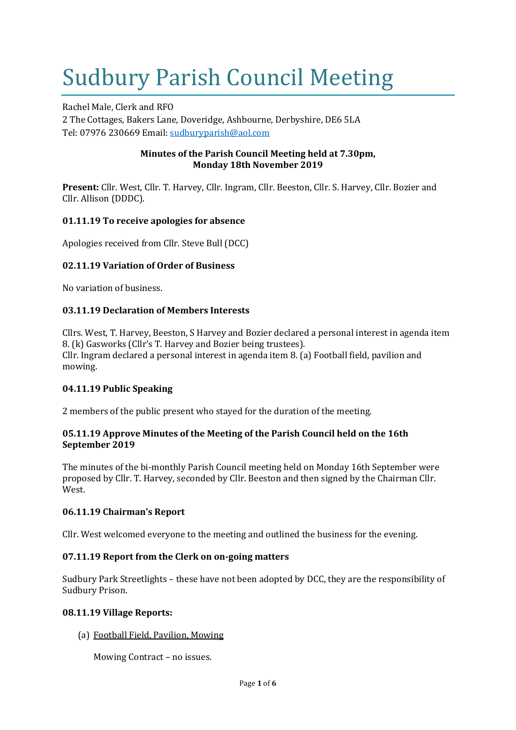# Sudbury Parish Council Meeting

Rachel Male, Clerk and RFO 2 The Cottages, Bakers Lane, Doveridge, Ashbourne, Derbyshire, DE6 5LA Tel: 07976 230669 Email: [sudburyparish@aol.com](mailto:sudburyparish@aol.com)

#### **Minutes of the Parish Council Meeting held at 7.30pm, Monday 18th November 2019**

**Present:** Cllr. West, Cllr. T. Harvey, Cllr. Ingram, Cllr. Beeston, Cllr. S. Harvey, Cllr. Bozier and Cllr. Allison (DDDC).

# **01.11.19 To receive apologies for absence**

Apologies received from Cllr. Steve Bull (DCC)

#### **02.11.19 Variation of Order of Business**

No variation of business.

#### **03.11.19 Declaration of Members Interests**

Cllrs. West, T. Harvey, Beeston, S Harvey and Bozier declared a personal interest in agenda item 8. (k) Gasworks (Cllr's T. Harvey and Bozier being trustees). Cllr. Ingram declared a personal interest in agenda item 8. (a) Football field, pavilion and mowing.

#### **04.11.19 Public Speaking**

2 members of the public present who stayed for the duration of the meeting.

#### **05.11.19 Approve Minutes of the Meeting of the Parish Council held on the 16th September 2019**

The minutes of the bi-monthly Parish Council meeting held on Monday 16th September were proposed by Cllr. T. Harvey, seconded by Cllr. Beeston and then signed by the Chairman Cllr. West.

#### **06.11.19 Chairman's Report**

Cllr. West welcomed everyone to the meeting and outlined the business for the evening.

#### **07.11.19 Report from the Clerk on on-going matters**

Sudbury Park Streetlights – these have not been adopted by DCC, they are the responsibility of Sudbury Prison.

#### **08.11.19 Village Reports:**

(a) Football Field, Pavilion, Mowing

Mowing Contract – no issues.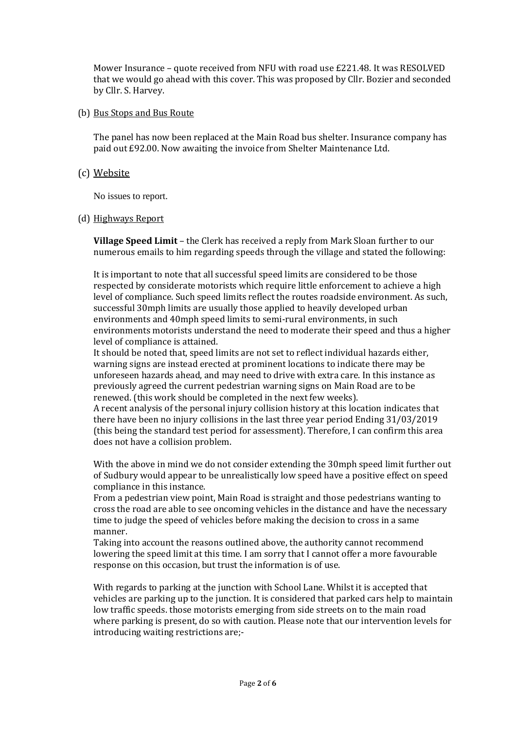Mower Insurance – quote received from NFU with road use £221.48. It was RESOLVED that we would go ahead with this cover. This was proposed by Cllr. Bozier and seconded by Cllr. S. Harvey.

#### (b) Bus Stops and Bus Route

The panel has now been replaced at the Main Road bus shelter. Insurance company has paid out £92.00. Now awaiting the invoice from Shelter Maintenance Ltd.

#### (c) Website

No issues to report.

#### (d) Highways Report

**Village Speed Limit** – the Clerk has received a reply from Mark Sloan further to our numerous emails to him regarding speeds through the village and stated the following:

It is important to note that all successful speed limits are considered to be those respected by considerate motorists which require little enforcement to achieve a high level of compliance. Such speed limits reflect the routes roadside environment. As such, successful 30mph limits are usually those applied to heavily developed urban environments and 40mph speed limits to semi-rural environments, in such environments motorists understand the need to moderate their speed and thus a higher level of compliance is attained.

It should be noted that, speed limits are not set to reflect individual hazards either, warning signs are instead erected at prominent locations to indicate there may be unforeseen hazards ahead, and may need to drive with extra care. In this instance as previously agreed the current pedestrian warning signs on Main Road are to be renewed. (this work should be completed in the next few weeks).

A recent analysis of the personal injury collision history at this location indicates that there have been no injury collisions in the last three year period Ending 31/03/2019 (this being the standard test period for assessment). Therefore, I can confirm this area does not have a collision problem.

With the above in mind we do not consider extending the 30mph speed limit further out of Sudbury would appear to be unrealistically low speed have a positive effect on speed compliance in this instance.

From a pedestrian view point, Main Road is straight and those pedestrians wanting to cross the road are able to see oncoming vehicles in the distance and have the necessary time to judge the speed of vehicles before making the decision to cross in a same manner.

Taking into account the reasons outlined above, the authority cannot recommend lowering the speed limit at this time. I am sorry that I cannot offer a more favourable response on this occasion, but trust the information is of use.

With regards to parking at the junction with School Lane. Whilst it is accepted that vehicles are parking up to the junction. It is considered that parked cars help to maintain low traffic speeds. those motorists emerging from side streets on to the main road where parking is present, do so with caution. Please note that our intervention levels for introducing waiting restrictions are;-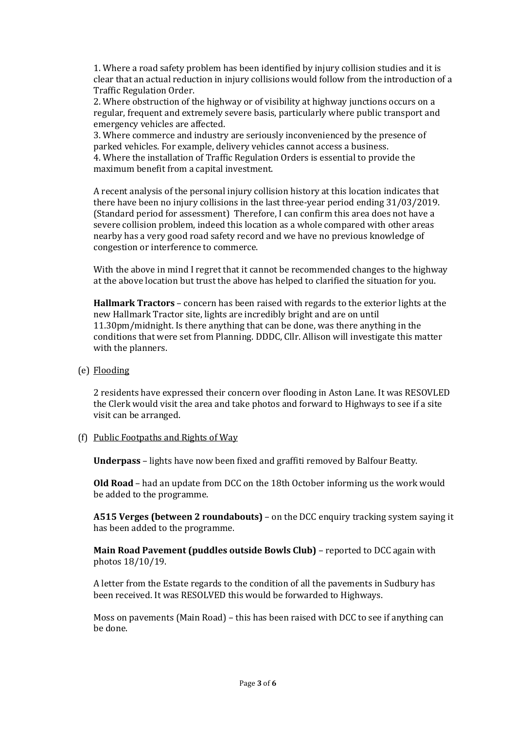1. Where a road safety problem has been identified by injury collision studies and it is clear that an actual reduction in injury collisions would follow from the introduction of a Traffic Regulation Order.

2. Where obstruction of the highway or of visibility at highway junctions occurs on a regular, frequent and extremely severe basis, particularly where public transport and emergency vehicles are affected.

3. Where commerce and industry are seriously inconvenienced by the presence of parked vehicles. For example, delivery vehicles cannot access a business.

4. Where the installation of Traffic Regulation Orders is essential to provide the maximum benefit from a capital investment.

A recent analysis of the personal injury collision history at this location indicates that there have been no injury collisions in the last three-year period ending 31/03/2019. (Standard period for assessment) Therefore, I can confirm this area does not have a severe collision problem, indeed this location as a whole compared with other areas nearby has a very good road safety record and we have no previous knowledge of congestion or interference to commerce.

With the above in mind I regret that it cannot be recommended changes to the highway at the above location but trust the above has helped to clarified the situation for you.

**Hallmark Tractors** – concern has been raised with regards to the exterior lights at the new Hallmark Tractor site, lights are incredibly bright and are on until 11.30pm/midnight. Is there anything that can be done, was there anything in the conditions that were set from Planning. DDDC, Cllr. Allison will investigate this matter with the planners.

(e) Flooding

2 residents have expressed their concern over flooding in Aston Lane. It was RESOVLED the Clerk would visit the area and take photos and forward to Highways to see if a site visit can be arranged.

(f) Public Footpaths and Rights of Way

**Underpass** – lights have now been fixed and graffiti removed by Balfour Beatty.

**Old Road** – had an update from DCC on the 18th October informing us the work would be added to the programme.

**A515 Verges (between 2 roundabouts)** – on the DCC enquiry tracking system saying it has been added to the programme.

**Main Road Pavement (puddles outside Bowls Club)** – reported to DCC again with photos 18/10/19.

A letter from the Estate regards to the condition of all the pavements in Sudbury has been received. It was RESOLVED this would be forwarded to Highways.

Moss on pavements (Main Road) – this has been raised with DCC to see if anything can be done.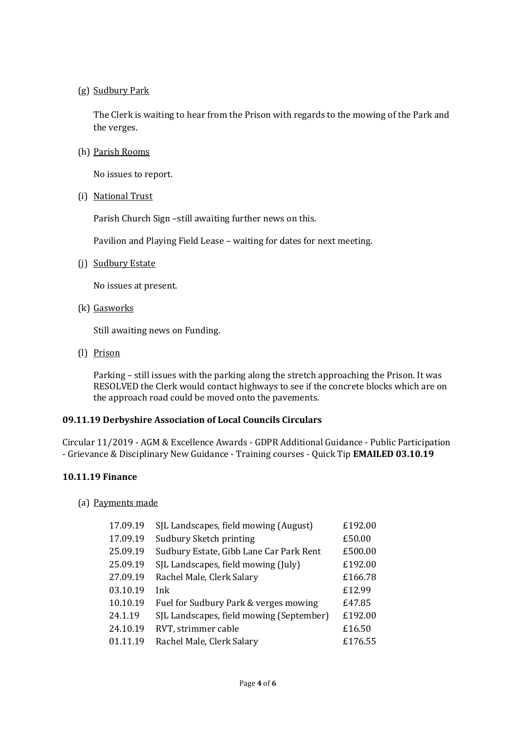#### (g) Sudbury Park

The Clerk is waiting to hear from the Prison with regards to the mowing of the Park and the verges.

(h) Parish Rooms

No issues to report.

(i) National Trust

Parish Church Sign –still awaiting further news on this.

Pavilion and Playing Field Lease – waiting for dates for next meeting.

(j) Sudbury Estate

No issues at present.

(k) Gasworks

Still awaiting news on Funding.

(l) Prison

Parking – still issues with the parking along the stretch approaching the Prison. It was RESOLVED the Clerk would contact highways to see if the concrete blocks which are on the approach road could be moved onto the pavements.

#### **09.11.19 Derbyshire Association of Local Councils Circulars**

Circular 11/2019 - AGM & Excellence Awards - GDPR Additional Guidance - Public Participation - Grievance & Disciplinary New Guidance - Training courses - Quick Tip **EMAILED 03.10.19**

# **10.11.19 Finance**

#### (a) Payments made

| 17.09.19 | SJL Landscapes, field mowing (August)    | £192.00 |
|----------|------------------------------------------|---------|
| 17.09.19 | Sudbury Sketch printing                  | £50.00  |
| 25.09.19 | Sudbury Estate, Gibb Lane Car Park Rent  | £500.00 |
| 25.09.19 | SJL Landscapes, field mowing (July)      | £192.00 |
| 27.09.19 | Rachel Male, Clerk Salary                | £166.78 |
| 03.10.19 | Ink                                      | £12.99  |
| 10.10.19 | Fuel for Sudbury Park & verges mowing    | £47.85  |
| 24.1.19  | SJL Landscapes, field mowing (September) | £192.00 |
| 24.10.19 | RVT, strimmer cable                      | £16.50  |
| 01.11.19 | Rachel Male, Clerk Salary                | £176.55 |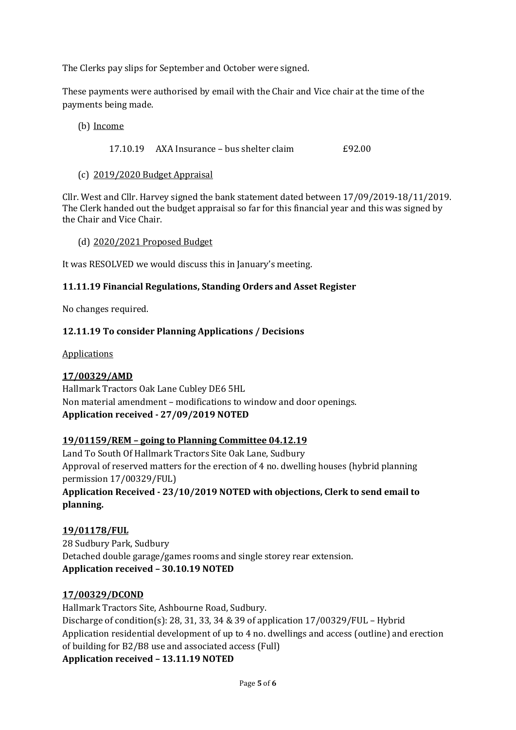The Clerks pay slips for September and October were signed.

These payments were authorised by email with the Chair and Vice chair at the time of the payments being made.

#### (b) Income

17.10.19 AXA Insurance – bus shelter claim £92.00

#### (c) 2019/2020 Budget Appraisal

Cllr. West and Cllr. Harvey signed the bank statement dated between 17/09/2019-18/11/2019. The Clerk handed out the budget appraisal so far for this financial year and this was signed by the Chair and Vice Chair.

#### (d) 2020/2021 Proposed Budget

It was RESOLVED we would discuss this in January's meeting.

# **11.11.19 Financial Regulations, Standing Orders and Asset Register**

No changes required.

# **12.11.19 To consider Planning Applications / Decisions**

**Applications** 

# **17/00329/AMD**

Hallmark Tractors Oak Lane Cubley DE6 5HL Non material amendment – modifications to window and door openings. **Application received - 27/09/2019 NOTED**

# **19/01159/REM – going to Planning Committee 04.12.19**

Land To South Of Hallmark Tractors Site Oak Lane, Sudbury Approval of reserved matters for the erection of 4 no. dwelling houses (hybrid planning permission 17/00329/FUL) **Application Received - 23/10/2019 NOTED with objections, Clerk to send email to** 

# **planning.**

# **19/01178/FUL**

28 Sudbury Park, Sudbury Detached double garage/games rooms and single storey rear extension. **Application received – 30.10.19 NOTED**

# **17/00329/DCOND**

Hallmark Tractors Site, Ashbourne Road, Sudbury. Discharge of condition(s): 28, 31, 33, 34 & 39 of application 17/00329/FUL – Hybrid Application residential development of up to 4 no. dwellings and access (outline) and erection of building for B2/B8 use and associated access (Full)

**Application received – 13.11.19 NOTED**